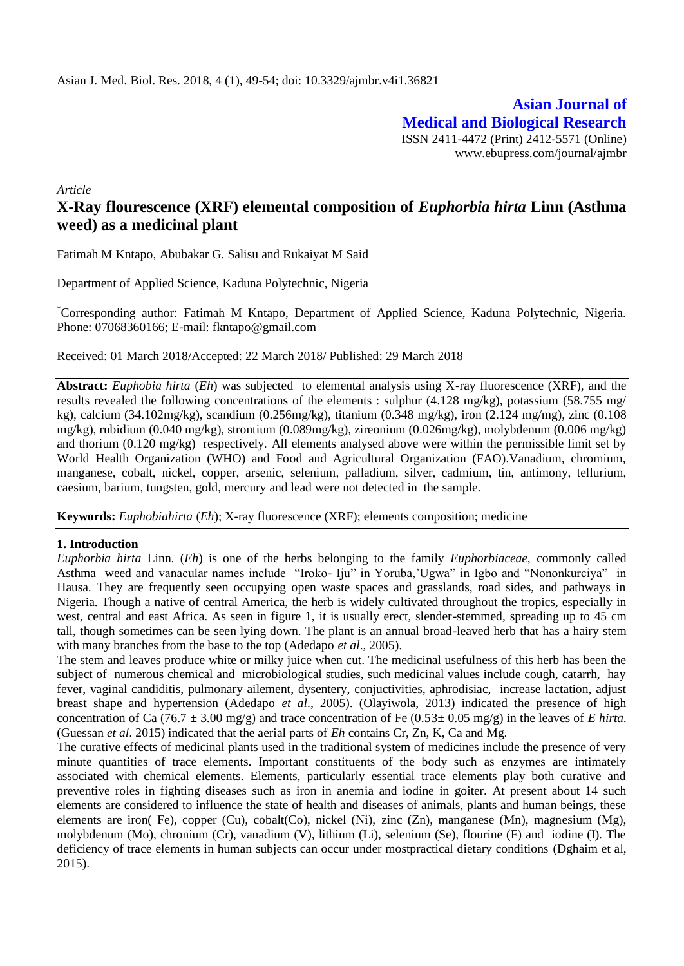**Asian Journal of Medical and Biological Research** ISSN 2411-4472 (Print) 2412-5571 (Online) www.ebupress.com/journal/ajmbr

*Article*

# **X-Ray flourescence (XRF) elemental composition of** *Euphorbia hirta* **Linn (Asthma weed) as a medicinal plant**

Fatimah M Kntapo, Abubakar G. Salisu and Rukaiyat M Said

Department of Applied Science, Kaduna Polytechnic, Nigeria

\*Corresponding author: Fatimah M Kntapo, Department of Applied Science, Kaduna Polytechnic, Nigeria. Phone: 07068360166; E-mail: fkntapo@gmail.com

Received: 01 March 2018/Accepted: 22 March 2018/ Published: 29 March 2018

**Abstract:** *Euphobia hirta* (*Eh*) was subjected to elemental analysis using X-ray fluorescence (XRF), and the results revealed the following concentrations of the elements : sulphur (4.128 mg/kg), potassium (58.755 mg/ kg), calcium (34.102mg/kg), scandium (0.256mg/kg), titanium (0.348 mg/kg), iron (2.124 mg/mg), zinc (0.108 mg/kg), rubidium (0.040 mg/kg), strontium (0.089mg/kg), zireonium (0.026mg/kg), molybdenum (0.006 mg/kg) and thorium (0.120 mg/kg) respectively. All elements analysed above were within the permissible limit set by World Health Organization (WHO) and Food and Agricultural Organization (FAO).Vanadium, chromium, manganese, cobalt, nickel, copper, arsenic, selenium, palladium, silver, cadmium, tin, antimony, tellurium, caesium, barium, tungsten, gold, mercury and lead were not detected in the sample.

**Keywords:** *Euphobiahirta* (*Eh*); X-ray fluorescence (XRF); elements composition; medicine

## **1. Introduction**

*Euphorbia hirta* Linn. (*Eh*) is one of the herbs belonging to the family *Euphorbiaceae,* commonly called Asthma weed and vanacular names include "Iroko- Iju" in Yoruba,'Ugwa" in Igbo and "Nononkurciya" in Hausa. They are frequently seen occupying open waste spaces and grasslands, road sides, and pathways in Nigeria. Though a native of central America, the herb is widely cultivated throughout the tropics, especially in west, central and east Africa. As seen in figure 1, it is usually erect, slender-stemmed, spreading up to 45 cm tall, though sometimes can be seen lying down. The plant is an annual broad-leaved herb that has a hairy stem with many branches from the base to the top (Adedapo *et al*., 2005).

The stem and leaves produce white or milky juice when cut. The medicinal usefulness of this herb has been the subject of numerous chemical and microbiological studies, such medicinal values include cough, catarrh, hay fever, vaginal candiditis, pulmonary ailement, dysentery, conjuctivities, aphrodisiac, increase lactation, adjust breast shape and hypertension (Adedapo *et al*., 2005). (Olayiwola, 2013) indicated the presence of high concentration of Ca (76.7  $\pm$  3.00 mg/g) and trace concentration of Fe (0.53 $\pm$  0.05 mg/g) in the leaves of *E hirta*. (Guessan *et al*. 2015) indicated that the aerial parts of *Eh* contains Cr, Zn, K, Ca and Mg.

The curative effects of medicinal plants used in the traditional system of medicines include the presence of very minute quantities of trace elements. Important constituents of the body such as enzymes are intimately associated with chemical elements. Elements, particularly essential trace elements play both curative and preventive roles in fighting diseases such as iron in anemia and iodine in goiter. At present about 14 such elements are considered to influence the state of health and diseases of animals, plants and human beings, these elements are iron( Fe), copper (Cu), cobalt(Co), nickel (Ni), zinc (Zn), manganese (Mn), magnesium (Mg), molybdenum (Mo), chronium (Cr), vanadium (V), lithium (Li), selenium (Se), flourine (F) and iodine (I). The deficiency of trace elements in human subjects can occur under mostpractical dietary conditions (Dghaim et al, 2015).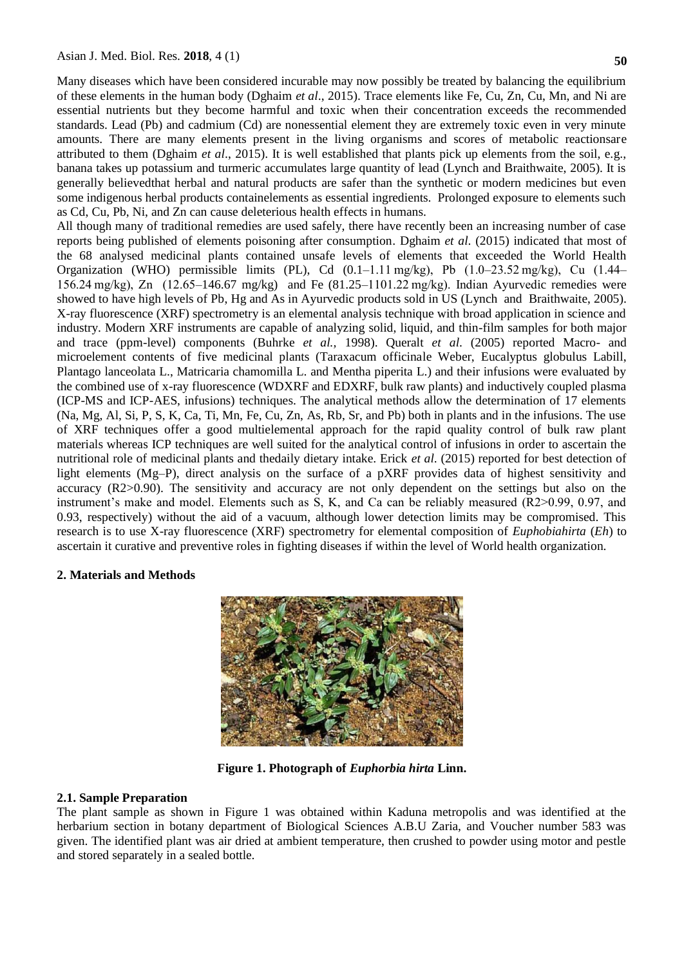Many diseases which have been considered incurable may now possibly be treated by balancing the equilibrium of these elements in the human body (Dghaim *et al*., 2015). Trace elements like Fe, Cu, Zn, Cu, Mn, and Ni are essential nutrients but they become harmful and toxic when their concentration exceeds the recommended standards. Lead (Pb) and cadmium (Cd) are nonessential element they are extremely toxic even in very minute amounts. There are many elements present in the living organisms and scores of metabolic reactionsare attributed to them (Dghaim *et al*., 2015). It is well established that plants pick up elements from the soil, e.g., banana takes up potassium and turmeric accumulates large quantity of lead (Lynch and Braithwaite, 2005). It is generally believedthat herbal and natural products are safer than the synthetic or modern medicines but even some indigenous herbal products containelements as essential ingredients. Prolonged exposure to elements such as Cd, Cu, Pb, Ni, and Zn can cause deleterious health effects in humans.

All though many of traditional remedies are used safely, there have recently been an increasing number of case reports being published of elements poisoning after consumption. Dghaim *et al*. (2015) indicated that most of the 68 analysed medicinal plants contained unsafe levels of elements that exceeded the World Health Organization (WHO) permissible limits (PL), Cd  $(0.1-1.11$  mg/kg), Pb  $(1.0-23.52$  mg/kg), Cu  $(1.44-$ 156.24 mg/kg), Zn (12.65–146.67 mg/kg) and Fe (81.25–1101.22 mg/kg). Indian Ayurvedic remedies were showed to have high levels of Pb, Hg and As in Ayurvedic products sold in US (Lynch and Braithwaite, 2005). X-ray fluorescence (XRF) spectrometry is an elemental analysis technique with broad application in science and industry. Modern XRF instruments are capable of analyzing solid, liquid, and thin-film samples for both major and trace (ppm-level) components (Buhrke *et al.,* 1998). Queralt *et al*. (2005) reported Macro- and microelement contents of five medicinal plants (Taraxacum officinale Weber, Eucalyptus globulus Labill, Plantago lanceolata L., Matricaria chamomilla L. and Mentha piperita L.) and their infusions were evaluated by the combined use of x-ray fluorescence (WDXRF and EDXRF, bulk raw plants) and inductively coupled plasma (ICP-MS and ICP-AES, infusions) techniques. The analytical methods allow the determination of 17 elements (Na, Mg, Al, Si, P, S, K, Ca, Ti, Mn, Fe, Cu, Zn, As, Rb, Sr, and Pb) both in plants and in the infusions. The use of XRF techniques offer a good multielemental approach for the rapid quality control of bulk raw plant materials whereas ICP techniques are well suited for the analytical control of infusions in order to ascertain the nutritional role of medicinal plants and thedaily dietary intake. Erick *et al*. (2015) reported for best detection of light elements (Mg–P), direct analysis on the surface of a pXRF provides data of highest sensitivity and accuracy (R2>0.90). The sensitivity and accuracy are not only dependent on the settings but also on the instrument's make and model. Elements such as S, K, and Ca can be reliably measured (R2>0.99, 0.97, and 0.93, respectively) without the aid of a vacuum, although lower detection limits may be compromised. This research is to use X-ray fluorescence (XRF) spectrometry for elemental composition of *Euphobiahirta* (*Eh*) to ascertain it curative and preventive roles in fighting diseases if within the level of World health organization.

## **2. Materials and Methods**



**Figure 1. Photograph of** *Euphorbia hirta* **Linn.**

## **2.1. Sample Preparation**

The plant sample as shown in Figure 1 was obtained within Kaduna metropolis and was identified at the herbarium section in botany department of Biological Sciences A.B.U Zaria, and Voucher number 583 was given. The identified plant was air dried at ambient temperature, then crushed to powder using motor and pestle and stored separately in a sealed bottle.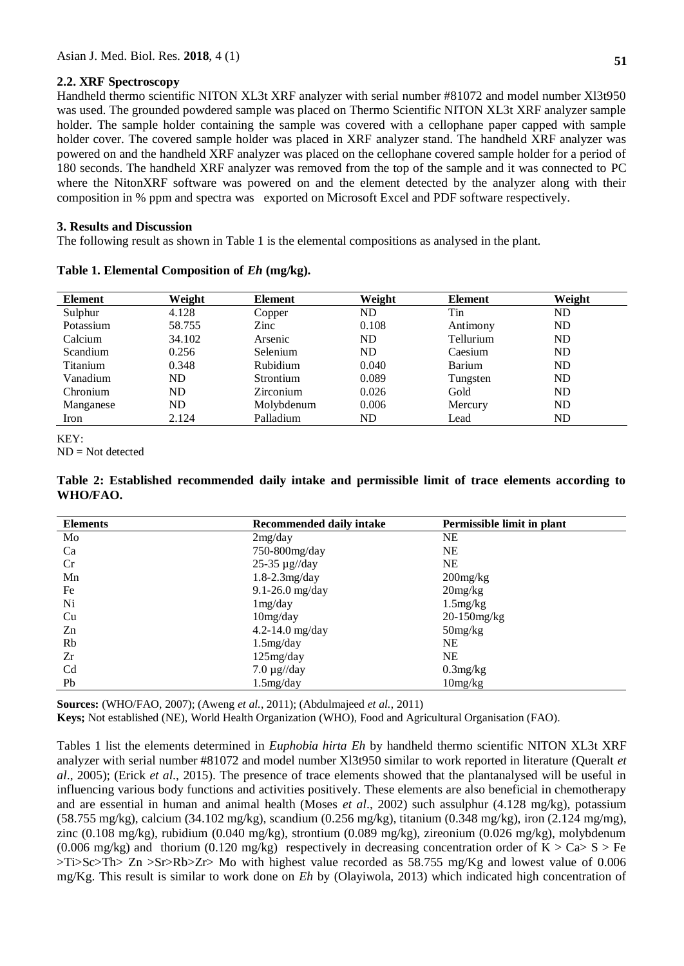## **2.2. XRF Spectroscopy**

Handheld thermo scientific NITON XL3t XRF analyzer with serial number #81072 and model number Xl3t950 was used. The grounded powdered sample was placed on Thermo Scientific NITON XL3t XRF analyzer sample holder. The sample holder containing the sample was covered with a cellophane paper capped with sample holder cover. The covered sample holder was placed in XRF analyzer stand. The handheld XRF analyzer was powered on and the handheld XRF analyzer was placed on the cellophane covered sample holder for a period of 180 seconds. The handheld XRF analyzer was removed from the top of the sample and it was connected to PC where the NitonXRF software was powered on and the element detected by the analyzer along with their composition in % ppm and spectra was exported on Microsoft Excel and PDF software respectively.

## **3. Results and Discussion**

The following result as shown in Table 1 is the elemental compositions as analysed in the plant.

| <b>Element</b> | Weight | <b>Element</b> | Weight | Element   | Weight    |
|----------------|--------|----------------|--------|-----------|-----------|
| Sulphur        | 4.128  | Copper         | ND     | Tin       | ND        |
| Potassium      | 58.755 | Zinc           | 0.108  | Antimony  | ND        |
| Calcium        | 34.102 | Arsenic        | ND     | Tellurium | ND        |
| Scandium       | 0.256  | Selenium       | ND     | Caesium   | ND        |
| Titanium       | 0.348  | Rubidium       | 0.040  | Barium    | ND.       |
| Vanadium       | ND     | Strontium      | 0.089  | Tungsten  | ND        |
| Chronium       | ND     | Zirconium      | 0.026  | Gold      | <b>ND</b> |
| Manganese      | ND     | Molybdenum     | 0.006  | Mercury   | ND        |
| Iron           | 2.124  | Palladium      | ND     | Lead      | ND        |

**Table 1. Elemental Composition of** *Eh* **(mg/kg).**

KEY:

 $ND = Not detected$ 

**Table 2: Established recommended daily intake and permissible limit of trace elements according to WHO/FAO.**

| <b>Elements</b> | <b>Recommended daily intake</b> | Permissible limit in plant |
|-----------------|---------------------------------|----------------------------|
| Mo              | 2mg/day                         | NE                         |
| Ca              | 750-800mg/day                   | NE                         |
| Cr              | $25-35 \mu g/day$               | NE                         |
| Mn              | $1.8 - 2.3$ mg/day              | $200$ mg/kg                |
| Fe              | $9.1 - 26.0$ mg/day             | 20mg/kg                    |
| Ni              | 1mg/day                         | 1.5mg/kg                   |
| Cu              | 10mg/day                        | $20-150$ mg/kg             |
| Zn              | $4.2 - 14.0$ mg/day             | 50mg/kg                    |
| Rb              | 1.5mg/day                       | NE                         |
| Zr              | 125mg/day                       | NE                         |
| C <sub>d</sub>  | $7.0 \mu g/day$                 | 0.3mg/kg                   |
| Pb              | 1.5mg/day                       | 10mg/kg                    |

**Sources:** (WHO/FAO, 2007); (Aweng *et al.*, 2011); (Abdulmajeed *et al.*, 2011)

**Keys;** Not established (NE), World Health Organization (WHO), Food and Agricultural Organisation (FAO).

Tables 1 list the elements determined in *Euphobia hirta Eh* by handheld thermo scientific NITON XL3t XRF analyzer with serial number #81072 and model number Xl3t950 similar to work reported in literature (Queralt *et al*., 2005); (Erick *et al*., 2015). The presence of trace elements showed that the plantanalysed will be useful in influencing various body functions and activities positively. These elements are also beneficial in chemotherapy and are essential in human and animal health (Moses *et al*., 2002) such assulphur (4.128 mg/kg), potassium (58.755 mg/kg), calcium (34.102 mg/kg), scandium (0.256 mg/kg), titanium (0.348 mg/kg), iron (2.124 mg/mg), zinc (0.108 mg/kg), rubidium (0.040 mg/kg), strontium (0.089 mg/kg), zireonium (0.026 mg/kg), molybdenum (0.006 mg/kg) and thorium (0.120 mg/kg) respectively in decreasing concentration order of  $K > Ca > S > Fe$ >Ti>Sc>Th> Zn >Sr>Rb>Zr> Mo with highest value recorded as 58.755 mg/Kg and lowest value of 0.006 mg/Kg. This result is similar to work done on *Eh* by (Olayiwola, 2013) which indicated high concentration of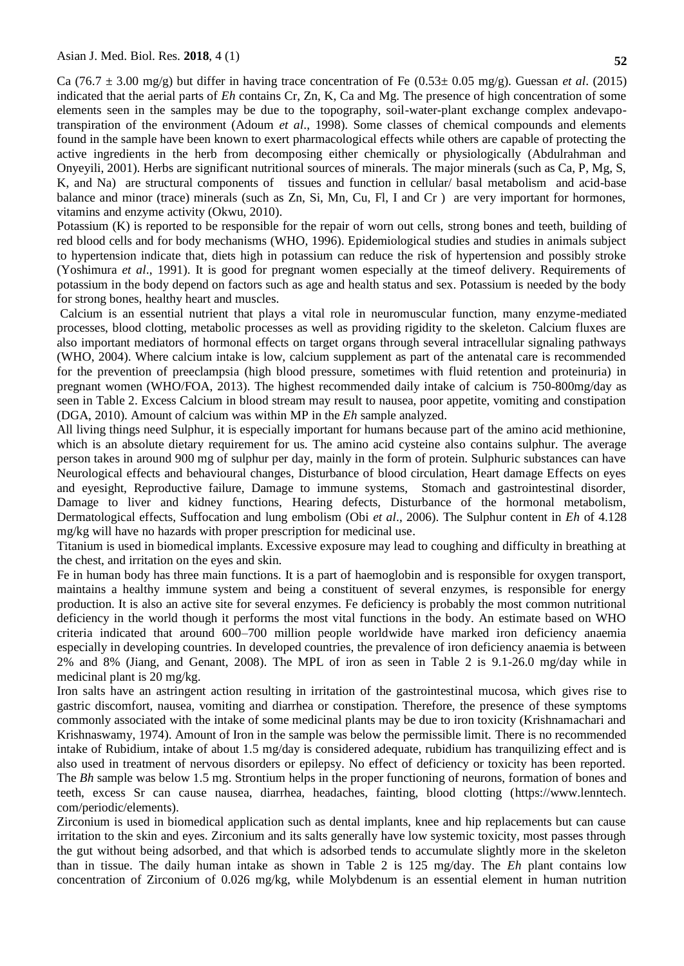Ca (76.7  $\pm$  3.00 mg/g) but differ in having trace concentration of Fe (0.53 $\pm$  0.05 mg/g). Guessan *et al.* (2015) indicated that the aerial parts of *Eh* contains Cr, Zn, K, Ca and Mg. The presence of high concentration of some elements seen in the samples may be due to the topography, soil-water-plant exchange complex andevapotranspiration of the environment (Adoum *et al*., 1998). Some classes of chemical compounds and elements found in the sample have been known to exert pharmacological effects while others are capable of protecting the active ingredients in the herb from decomposing either chemically or physiologically (Abdulrahman and Onyeyili, 2001). Herbs are significant nutritional sources of minerals. The major minerals (such as Ca, P, Mg, S, K, and Na) are structural components of tissues and function in cellular/ basal metabolism and acid-base balance and minor (trace) minerals (such as Zn, Si, Mn, Cu, Fl, I and Cr ) are very important for hormones, vitamins and enzyme activity (Okwu, 2010).

Potassium (K) is reported to be responsible for the repair of worn out cells, strong bones and teeth, building of red blood cells and for body mechanisms (WHO, 1996). Epidemiological studies and studies in animals subject to hypertension indicate that, diets high in potassium can reduce the risk of hypertension and possibly stroke (Yoshimura *et al*., 1991). It is good for pregnant women especially at the timeof delivery. Requirements of potassium in the body depend on factors such as age and health status and sex. Potassium is needed by the body for strong bones, healthy heart and muscles.

Calcium is an essential nutrient that plays a vital role in neuromuscular function, many enzyme-mediated processes, blood clotting, metabolic processes as well as providing rigidity to the skeleton. Calcium fluxes are also important mediators of hormonal effects on target organs through several intracellular signaling pathways (WHO, 2004). Where calcium intake is low, calcium supplement as part of the antenatal care is recommended for the prevention of preeclampsia (high blood pressure, sometimes with fluid retention and proteinuria) in pregnant women (WHO/FOA, 2013). The highest recommended daily intake of calcium is 750-800mg/day as seen in Table 2. Excess Calcium in blood stream may result to nausea, poor appetite, vomiting and constipation (DGA, 2010). Amount of calcium was within MP in the *Eh* sample analyzed.

All living things need Sulphur, it is especially important for humans because part of the amino acid methionine, which is an absolute dietary requirement for us. The amino acid cysteine also contains sulphur. The average person takes in around 900 mg of sulphur per day, mainly in the form of protein. Sulphuric substances can have Neurological effects and behavioural changes, Disturbance of blood circulation, Heart damage Effects on eyes and eyesight, Reproductive failure, Damage to immune systems, Stomach and gastrointestinal disorder, Damage to liver and kidney functions, Hearing defects, Disturbance of the hormonal metabolism, Dermatological effects, Suffocation and lung embolism (Obi *et al*., 2006). The Sulphur content in *Eh* of 4.128 mg/kg will have no hazards with proper prescription for medicinal use.

Titanium is used in biomedical implants. Excessive exposure may lead to coughing and difficulty in breathing at the chest, and irritation on the eyes and skin.

Fe in human body has three main functions. It is a part of haemoglobin and is responsible for oxygen transport, maintains a healthy immune system and being a constituent of several enzymes, is responsible for energy production. It is also an active site for several enzymes. Fe deficiency is probably the most common nutritional deficiency in the world though it performs the most vital functions in the body. An estimate based on WHO criteria indicated that around 600–700 million people worldwide have marked iron deficiency anaemia especially in developing countries. In developed countries, the prevalence of iron deficiency anaemia is between 2% and 8% (Jiang, and Genant, 2008). The MPL of iron as seen in Table 2 is 9.1-26.0 mg/day while in medicinal plant is 20 mg/kg.

Iron salts have an astringent action resulting in irritation of the gastrointestinal mucosa, which gives rise to gastric discomfort, nausea, vomiting and diarrhea or constipation. Therefore, the presence of these symptoms commonly associated with the intake of some medicinal plants may be due to iron toxicity (Krishnamachari and Krishnaswamy, 1974). Amount of Iron in the sample was below the permissible limit. There is no recommended intake of Rubidium, intake of about 1.5 mg/day is considered adequate, rubidium has tranquilizing effect and is also used in treatment of nervous disorders or epilepsy. No effect of deficiency or toxicity has been reported. The *Bh* sample was below 1.5 mg. Strontium helps in the proper functioning of neurons, formation of bones and teeth, excess Sr can cause nausea, diarrhea, headaches, fainting, blood clotting [\(https://www.lenntech.](https://www.lenntech.com/periodic/elements/s.htm#ixzz57zupx8it) [com/periodic/elements\)](https://www.lenntech.com/periodic/elements/s.htm#ixzz57zupx8it).

Zirconium is used in biomedical application such as dental implants, knee and hip replacements but can cause irritation to the skin and eyes. Zirconium and its salts generally have low systemic toxicity, most passes through the gut without being adsorbed, and that which is adsorbed tends to accumulate slightly more in the skeleton than in tissue. The daily human intake as shown in Table 2 is 125 mg/day. The *Eh* plant contains low concentration of Zirconium of 0.026 mg/kg, while Molybdenum is an essential element in human nutrition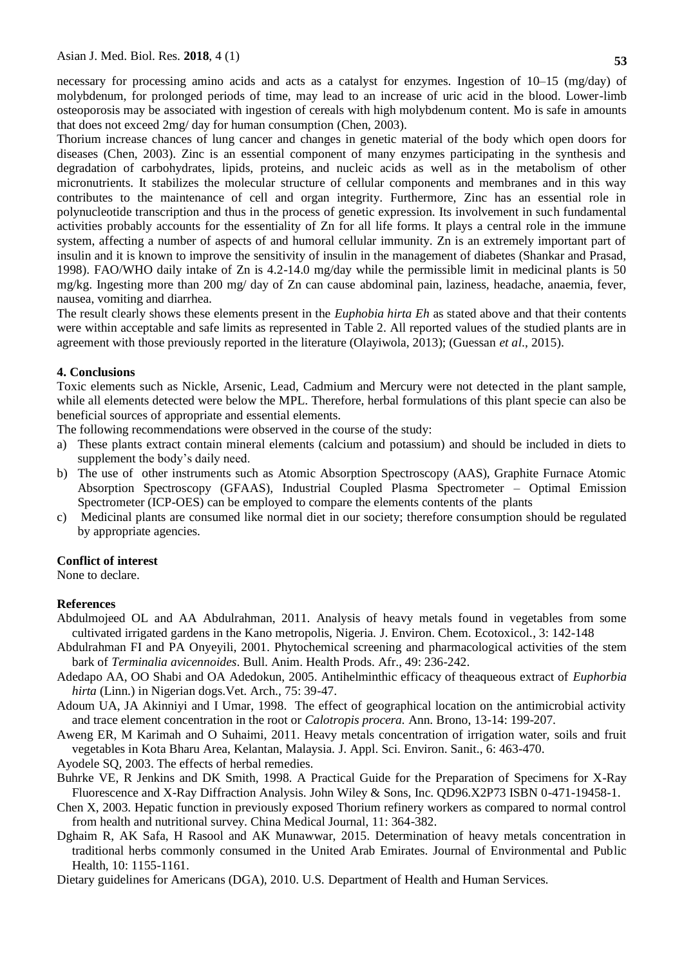necessary for processing amino acids and acts as a catalyst for enzymes. Ingestion of 10–15 (mg/day) of molybdenum, for prolonged periods of time, may lead to an increase of uric acid in the blood. Lower-limb osteoporosis may be associated with ingestion of cereals with high molybdenum content. Mo is safe in amounts that does not exceed 2mg/ day for human consumption (Chen, 2003).

Thorium increase chances of lung cancer and changes in genetic material of the body which open doors for diseases (Chen, 2003). Zinc is an essential component of many enzymes participating in the synthesis and degradation of carbohydrates, lipids, proteins, and nucleic acids as well as in the metabolism of other micronutrients. It stabilizes the molecular structure of cellular components and membranes and in this way contributes to the maintenance of cell and organ integrity. Furthermore, Zinc has an essential role in polynucleotide transcription and thus in the process of genetic expression. Its involvement in such fundamental activities probably accounts for the essentiality of Zn for all life forms. It plays a central role in the immune system, affecting a number of aspects of and humoral cellular immunity. Zn is an extremely important part of insulin and it is known to improve the sensitivity of insulin in the management of diabetes (Shankar and Prasad, 1998). FAO/WHO daily intake of Zn is 4.2-14.0 mg/day while the permissible limit in medicinal plants is 50 mg/kg. Ingesting more than 200 mg/ day of Zn can cause abdominal pain, laziness, headache, anaemia, fever, nausea, vomiting and diarrhea.

The result clearly shows these elements present in the *Euphobia hirta Eh* as stated above and that their contents were within acceptable and safe limits as represented in Table 2. All reported values of the studied plants are in agreement with those previously reported in the literature (Olayiwola, 2013); (Guessan *et al*., 2015).

## **4. Conclusions**

Toxic elements such as Nickle, Arsenic, Lead, Cadmium and Mercury were not detected in the plant sample, while all elements detected were below the MPL. Therefore, herbal formulations of this plant specie can also be beneficial sources of appropriate and essential elements.

The following recommendations were observed in the course of the study:

- a) These plants extract contain mineral elements (calcium and potassium) and should be included in diets to supplement the body's daily need.
- b) The use of other instruments such as Atomic Absorption Spectroscopy (AAS), Graphite Furnace Atomic Absorption Spectroscopy (GFAAS), Industrial Coupled Plasma Spectrometer – Optimal Emission Spectrometer (ICP-OES) can be employed to compare the elements contents of the plants
- c) Medicinal plants are consumed like normal diet in our society; therefore consumption should be regulated by appropriate agencies.

## **Conflict of interest**

None to declare.

## **References**

- Abdulmojeed OL and AA Abdulrahman, 2011. Analysis of heavy metals found in vegetables from some cultivated irrigated gardens in the Kano metropolis, Nigeria. J. Environ. Chem. Ecotoxicol., 3: 142-148
- Abdulrahman FI and PA Onyeyili, 2001. Phytochemical screening and pharmacological activities of the stem bark of *Terminalia avicennoides*. Bull. Anim. Health Prods. Afr., 49: 236-242.
- Adedapo AA, OO Shabi and OA Adedokun, 2005. Antihelminthic efficacy of theaqueous extract of *Euphorbia hirta* (Linn.) in Nigerian dogs.Vet. Arch., 75: 39-47.
- Adoum UA, JA Akinniyi and I Umar, 1998. The effect of geographical location on the antimicrobial activity and trace element concentration in the root or *Calotropis procera.* Ann. Brono, 13-14: 199-207.
- Aweng ER, M Karimah and O Suhaimi, 2011. Heavy metals concentration of irrigation water, soils and fruit vegetables in Kota Bharu Area, Kelantan, Malaysia. J. Appl. Sci. Environ. Sanit., 6: 463-470.
- Ayodele SQ, 2003. The effects of herbal remedies.
- Buhrke VE, R Jenkins and DK Smith, 1998. A Practical Guide for the Preparation of Specimens for X-Ray Fluorescence and X-Ray Diffraction Analysis. John Wiley & Sons, Inc. QD96.X2P73 ISBN 0-471-19458-1.
- Chen X, 2003. Hepatic function in previously exposed Thorium refinery workers as compared to normal control from health and nutritional survey. China Medical Journal, 11: 364-382.
- Dghaim R, AK Safa, H Rasool and AK Munawwar, 2015. Determination of heavy metals concentration in traditional herbs commonly consumed in the United Arab Emirates. Journal of Environmental and Public Health, 10: 1155-1161.
- Dietary guidelines for Americans (DGA), 2010. U.S. Department of Health and Human Services*.*